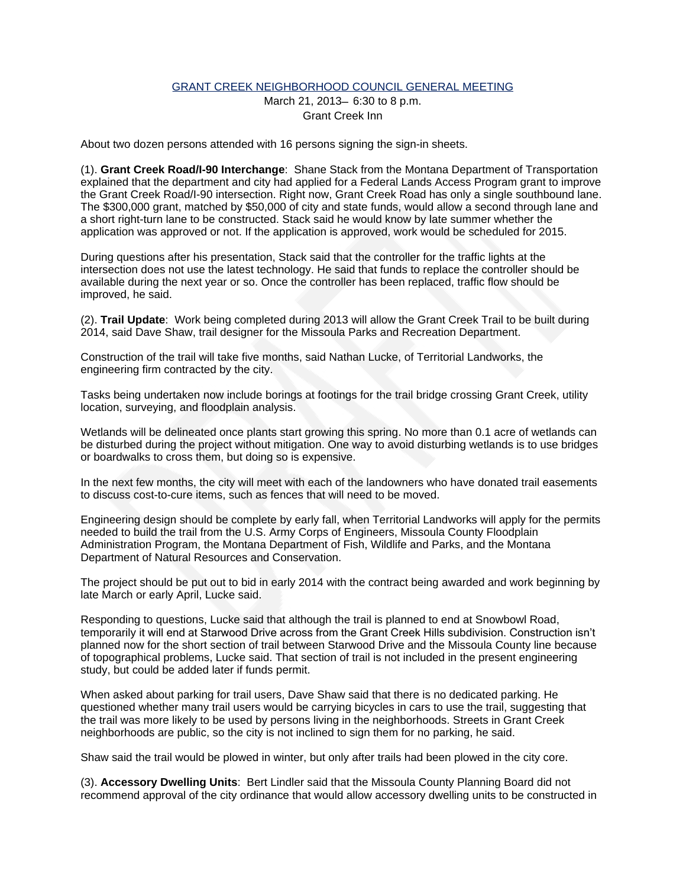## GRANT CREEK NEIGHBORHOOD COUNCIL GENERAL MEETING

March 21, 2013— 6:30 to 8 p.m. Grant Creek Inn

About two dozen persons attended with 16 persons signing the sign-in sheets.

(1). **Grant Creek Road/I-90 Interchange**: Shane Stack from the Montana Department of Transportation explained that the department and city had applied for a Federal Lands Access Program grant to improve the Grant Creek Road/I-90 intersection. Right now, Grant Creek Road has only a single southbound lane. The \$300,000 grant, matched by \$50,000 of city and state funds, would allow a second through lane and a short right-turn lane to be constructed. Stack said he would know by late summer whether the application was approved or not. If the application is approved, work would be scheduled for 2015.

During questions after his presentation, Stack said that the controller for the traffic lights at the intersection does not use the latest technology. He said that funds to replace the controller should be available during the next year or so. Once the controller has been replaced, traffic flow should be improved, he said.

(2). **Trail Update**: Work being completed during 2013 will allow the Grant Creek Trail to be built during 2014, said Dave Shaw, trail designer for the Missoula Parks and Recreation Department.

Construction of the trail will take five months, said Nathan Lucke, of Territorial Landworks, the engineering firm contracted by the city.

Tasks being undertaken now include borings at footings for the trail bridge crossing Grant Creek, utility location, surveying, and floodplain analysis.

Wetlands will be delineated once plants start growing this spring. No more than 0.1 acre of wetlands can be disturbed during the project without mitigation. One way to avoid disturbing wetlands is to use bridges or boardwalks to cross them, but doing so is expensive.

In the next few months, the city will meet with each of the landowners who have donated trail easements to discuss cost-to-cure items, such as fences that will need to be moved.

Engineering design should be complete by early fall, when Territorial Landworks will apply for the permits needed to build the trail from the U.S. Army Corps of Engineers, Missoula County Floodplain Administration Program, the Montana Department of Fish, Wildlife and Parks, and the Montana Department of Natural Resources and Conservation.

The project should be put out to bid in early 2014 with the contract being awarded and work beginning by late March or early April, Lucke said.

Responding to questions, Lucke said that although the trail is planned to end at Snowbowl Road, temporarily it will end at Starwood Drive across from the Grant Creek Hills subdivision. Construction isn't planned now for the short section of trail between Starwood Drive and the Missoula County line because of topographical problems, Lucke said. That section of trail is not included in the present engineering study, but could be added later if funds permit.

When asked about parking for trail users, Dave Shaw said that there is no dedicated parking. He questioned whether many trail users would be carrying bicycles in cars to use the trail, suggesting that the trail was more likely to be used by persons living in the neighborhoods. Streets in Grant Creek neighborhoods are public, so the city is not inclined to sign them for no parking, he said.

Shaw said the trail would be plowed in winter, but only after trails had been plowed in the city core.

(3). **Accessory Dwelling Units**: Bert Lindler said that the Missoula County Planning Board did not recommend approval of the city ordinance that would allow accessory dwelling units to be constructed in